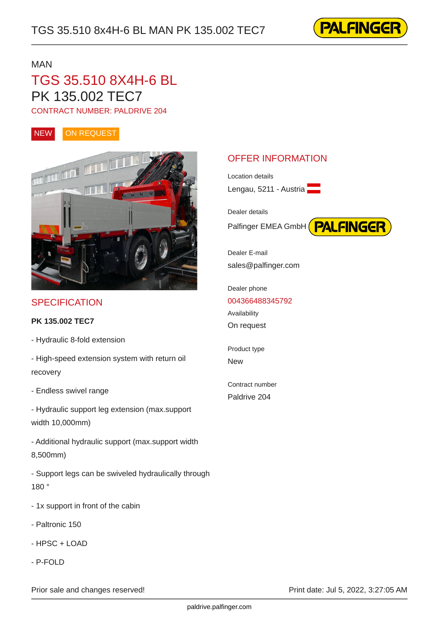

#### MAN **MANUS**

## TGS 35.510 8X4H-6 BL PK 135.002 TEC7

CONTRACT NUMBER: PALDRIVE 204





#### **SPECIFICATION**

**PK 135.002 TEC7**

- Hydraulic 8-fold extension
- High-speed extension system with return oil recovery
- Endless swivel range
- Hydraulic support leg extension (max.support width 10,000mm)
- Additional hydraulic support (max.support width 8,500mm)
- Support legs can be swiveled hydraulically through 180 °
- 1x support in front of the cabin
- Paltronic 150
- HPSC + LOAD
- P-FOLD

# Palfinger EMEA GmbH **PALFINGER**

Location details

Dealer details

Dealer E-mail sales@palfinger.com

OFFER INFORMATION

Lengau, 5211 - Austria

Dealer phone [004366488345792](tel:004366488345792) Availability On request

Product type New second contract the second contract of the second contract of the second contract of the second contract of the second contract of the second contract of the second contract of the second contract of the second contrac

Contract number Paldrive 204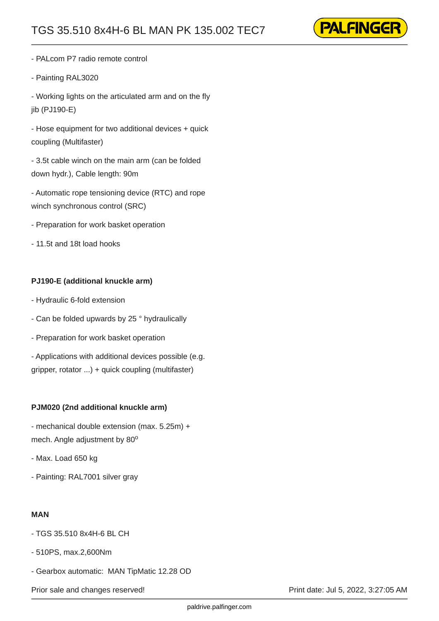

- PALcom P7 radio remote control
- Painting RAL3020

- Working lights on the articulated arm and on the fly iib (PJ190-E)

- Hose equipment for two additional devices + quick coupling (Multifaster)

- 3.5t cable winch on the main arm (can be folded down hydr.), Cable length: 90m

- Automatic rope tensioning device (RTC) and rope winch synchronous control (SRC)

- Preparation for work basket operation

- 11.5t and 18t load hooks

#### **PJ190-E (additional knuckle arm)**

- Hydraulic 6-fold extension
- Can be folded upwards by 25 ° hydraulically
- Preparation for work basket operation

- Applications with additional devices possible (e.g. gripper, rotator ...) + quick coupling (multifaster)

#### **PJM020 (2nd additional knuckle arm)**

- mechanical double extension (max. 5.25m) + mech. Angle adjustment by 80 o

- Max. Load 650 kg
- Painting: RAL7001 silver gray

#### **MAN**

- TGS 35.510 8x4H-6 BL CH
- 510PS, max.2,600Nm
- Gearbox automatic: MAN TipMatic 12.28 OD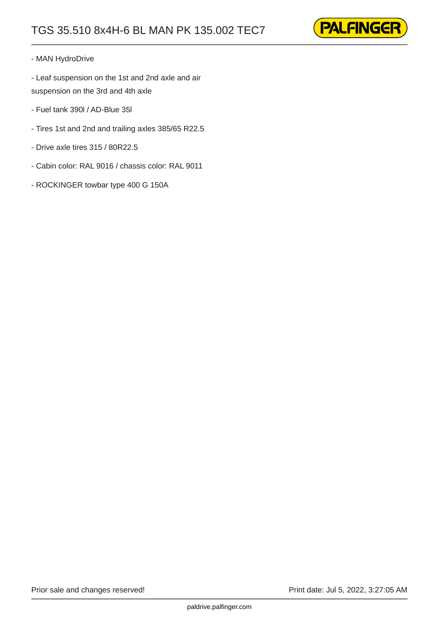

#### - MAN HydroDrive

- Leaf suspension on the 1st and 2nd axle and air suspension on the 3rd and 4th axle

- Fuel tank 390l / AD-Blue 35l
- Tires 1st and 2nd and trailing axles 385/65 R22.5
- Drive axle tires 315 / 80R22.5
- Cabin color: RAL 9016 / chassis color: RAL 9011
- ROCKINGER towbar type 400 G 150A